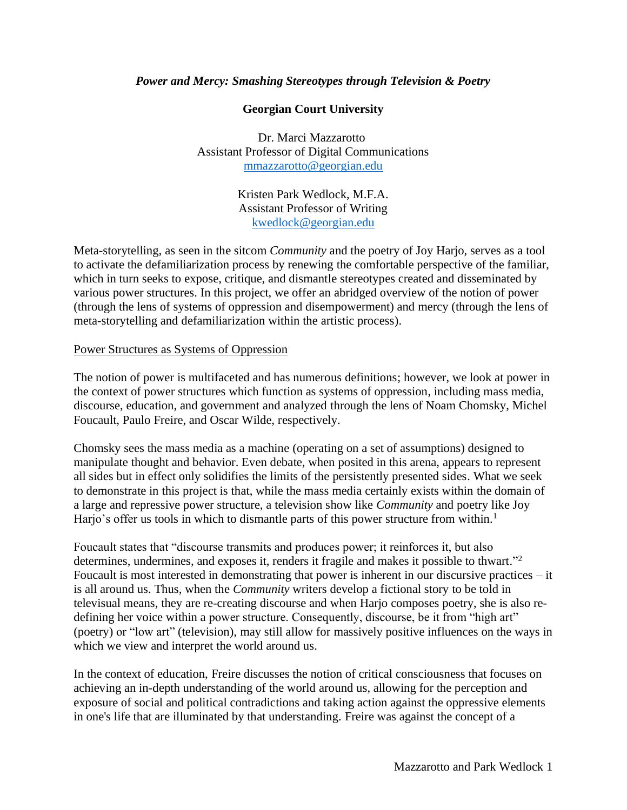### *Power and Mercy: Smashing Stereotypes through Television & Poetry*

## **Georgian Court University**

Dr. Marci Mazzarotto Assistant Professor of Digital Communications [mmazzarotto@georgian.edu](mailto:mmazzarotto@georgian.edu)

> Kristen Park Wedlock, M.F.A. Assistant Professor of Writing [kwedlock@georgian.edu](mailto:kwedlock@georgian.edu)

Meta-storytelling, as seen in the sitcom *Community* and the poetry of Joy Harjo, serves as a tool to activate the defamiliarization process by renewing the comfortable perspective of the familiar, which in turn seeks to expose, critique, and dismantle stereotypes created and disseminated by various power structures. In this project, we offer an abridged overview of the notion of power (through the lens of systems of oppression and disempowerment) and mercy (through the lens of meta-storytelling and defamiliarization within the artistic process).

#### Power Structures as Systems of Oppression

The notion of power is multifaceted and has numerous definitions; however, we look at power in the context of power structures which function as systems of oppression, including mass media, discourse, education, and government and analyzed through the lens of Noam Chomsky, Michel Foucault, Paulo Freire, and Oscar Wilde, respectively.

Chomsky sees the mass media as a machine (operating on a set of assumptions) designed to manipulate thought and behavior. Even debate, when posited in this arena, appears to represent all sides but in effect only solidifies the limits of the persistently presented sides. What we seek to demonstrate in this project is that, while the mass media certainly exists within the domain of a large and repressive power structure, a television show like *Community* and poetry like Joy Harjo's offer us tools in which to dismantle parts of this power structure from within.<sup>1</sup>

Foucault states that "discourse transmits and produces power; it reinforces it, but also determines, undermines, and exposes it, renders it fragile and makes it possible to thwart."<sup>2</sup> Foucault is most interested in demonstrating that power is inherent in our discursive practices – it is all around us. Thus, when the *Community* writers develop a fictional story to be told in televisual means, they are re-creating discourse and when Harjo composes poetry, she is also redefining her voice within a power structure. Consequently, discourse, be it from "high art" (poetry) or "low art" (television), may still allow for massively positive influences on the ways in which we view and interpret the world around us.

In the context of education, Freire discusses the notion of critical consciousness that focuses on achieving an in-depth understanding of the world around us, allowing for the perception and exposure of social and political contradictions and taking action against the oppressive elements in one's life that are illuminated by that understanding. Freire was against the concept of a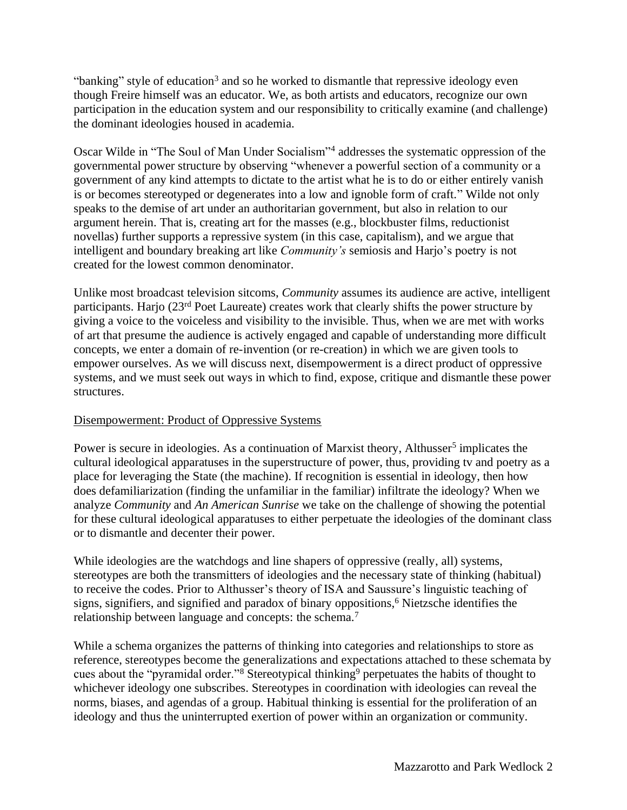"banking" style of education<sup>3</sup> and so he worked to dismantle that repressive ideology even though Freire himself was an educator. We, as both artists and educators, recognize our own participation in the education system and our responsibility to critically examine (and challenge) the dominant ideologies housed in academia.

Oscar Wilde in "The Soul of Man Under Socialism"<sup>4</sup> addresses the systematic oppression of the governmental power structure by observing "whenever a powerful section of a community or a government of any kind attempts to dictate to the artist what he is to do or either entirely vanish is or becomes stereotyped or degenerates into a low and ignoble form of craft." Wilde not only speaks to the demise of art under an authoritarian government, but also in relation to our argument herein. That is, creating art for the masses (e.g., blockbuster films, reductionist novellas) further supports a repressive system (in this case, capitalism), and we argue that intelligent and boundary breaking art like *Community's* semiosis and Harjo's poetry is not created for the lowest common denominator.

Unlike most broadcast television sitcoms, *Community* assumes its audience are active, intelligent participants. Harjo (23<sup>rd</sup> Poet Laureate) creates work that clearly shifts the power structure by giving a voice to the voiceless and visibility to the invisible. Thus, when we are met with works of art that presume the audience is actively engaged and capable of understanding more difficult concepts, we enter a domain of re-invention (or re-creation) in which we are given tools to empower ourselves. As we will discuss next, disempowerment is a direct product of oppressive systems, and we must seek out ways in which to find, expose, critique and dismantle these power structures.

# Disempowerment: Product of Oppressive Systems

Power is secure in ideologies. As a continuation of Marxist theory, Althusser<sup>5</sup> implicates the cultural ideological apparatuses in the superstructure of power, thus, providing tv and poetry as a place for leveraging the State (the machine). If recognition is essential in ideology, then how does defamiliarization (finding the unfamiliar in the familiar) infiltrate the ideology? When we analyze *Community* and *An American Sunrise* we take on the challenge of showing the potential for these cultural ideological apparatuses to either perpetuate the ideologies of the dominant class or to dismantle and decenter their power.

While ideologies are the watchdogs and line shapers of oppressive (really, all) systems, stereotypes are both the transmitters of ideologies and the necessary state of thinking (habitual) to receive the codes. Prior to Althusser's theory of ISA and Saussure's linguistic teaching of signs, signifiers, and signified and paradox of binary oppositions, <sup>6</sup> Nietzsche identifies the relationship between language and concepts: the schema.<sup>7</sup>

While a schema organizes the patterns of thinking into categories and relationships to store as reference, stereotypes become the generalizations and expectations attached to these schemata by cues about the "pyramidal order."<sup>8</sup> Stereotypical thinking<sup>9</sup> perpetuates the habits of thought to whichever ideology one subscribes. Stereotypes in coordination with ideologies can reveal the norms, biases, and agendas of a group. Habitual thinking is essential for the proliferation of an ideology and thus the uninterrupted exertion of power within an organization or community.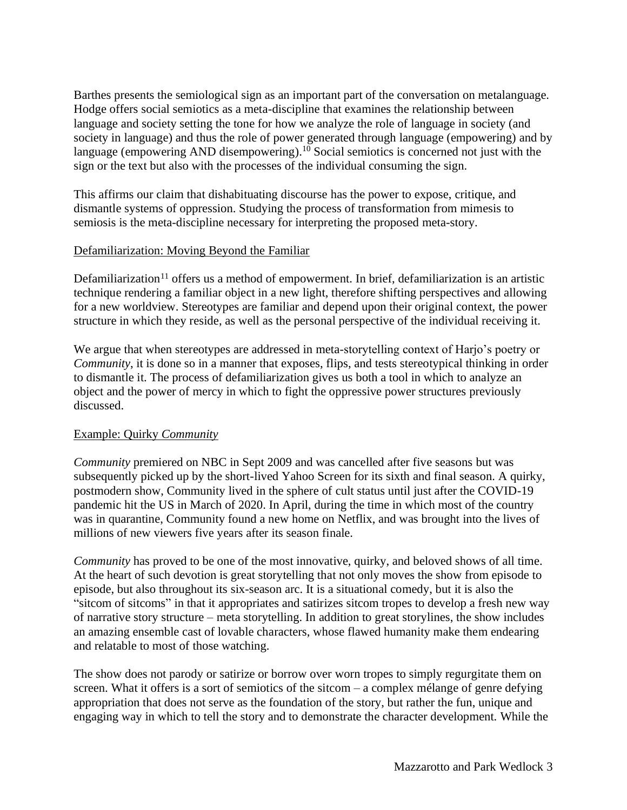Barthes presents the semiological sign as an important part of the conversation on metalanguage. Hodge offers social semiotics as a meta-discipline that examines the relationship between language and society setting the tone for how we analyze the role of language in society (and society in language) and thus the role of power generated through language (empowering) and by language (empowering AND disempowering).<sup>10</sup> Social semiotics is concerned not just with the sign or the text but also with the processes of the individual consuming the sign.

This affirms our claim that dishabituating discourse has the power to expose, critique, and dismantle systems of oppression. Studying the process of transformation from mimesis to semiosis is the meta-discipline necessary for interpreting the proposed meta-story.

### Defamiliarization: Moving Beyond the Familiar

Defamiliarization<sup>11</sup> offers us a method of empowerment. In brief, defamiliarization is an artistic technique rendering a familiar object in a new light, therefore shifting perspectives and allowing for a new worldview. Stereotypes are familiar and depend upon their original context, the power structure in which they reside, as well as the personal perspective of the individual receiving it.

We argue that when stereotypes are addressed in meta-storytelling context of Harjo's poetry or *Community*, it is done so in a manner that exposes, flips, and tests stereotypical thinking in order to dismantle it. The process of defamiliarization gives us both a tool in which to analyze an object and the power of mercy in which to fight the oppressive power structures previously discussed.

# Example: Quirky *Community*

*Community* premiered on NBC in Sept 2009 and was cancelled after five seasons but was subsequently picked up by the short-lived Yahoo Screen for its sixth and final season. A quirky, postmodern show, Community lived in the sphere of cult status until just after the COVID-19 pandemic hit the US in March of 2020. In April, during the time in which most of the country was in quarantine, Community found a new home on Netflix, and was brought into the lives of millions of new viewers five years after its season finale.

*Community* has proved to be one of the most innovative, quirky, and beloved shows of all time. At the heart of such devotion is great storytelling that not only moves the show from episode to episode, but also throughout its six-season arc. It is a situational comedy, but it is also the "sitcom of sitcoms" in that it appropriates and satirizes sitcom tropes to develop a fresh new way of narrative story structure – meta storytelling. In addition to great storylines, the show includes an amazing ensemble cast of lovable characters, whose flawed humanity make them endearing and relatable to most of those watching.

The show does not parody or satirize or borrow over worn tropes to simply regurgitate them on screen. What it offers is a sort of semiotics of the sitcom – a complex mélange of genre defying appropriation that does not serve as the foundation of the story, but rather the fun, unique and engaging way in which to tell the story and to demonstrate the character development. While the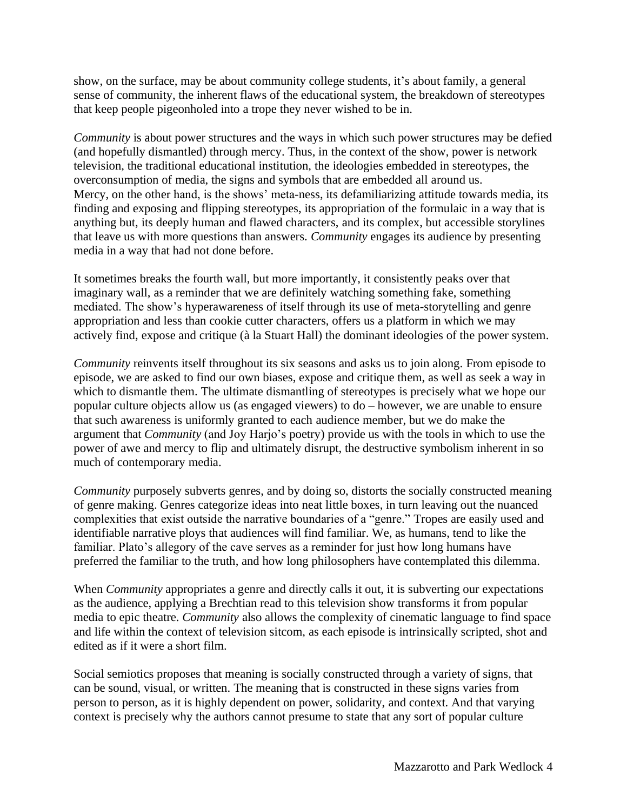show, on the surface, may be about community college students, it's about family, a general sense of community, the inherent flaws of the educational system, the breakdown of stereotypes that keep people pigeonholed into a trope they never wished to be in.

*Community* is about power structures and the ways in which such power structures may be defied (and hopefully dismantled) through mercy. Thus, in the context of the show, power is network television, the traditional educational institution, the ideologies embedded in stereotypes, the overconsumption of media, the signs and symbols that are embedded all around us. Mercy, on the other hand, is the shows' meta-ness, its defamiliarizing attitude towards media, its finding and exposing and flipping stereotypes, its appropriation of the formulaic in a way that is anything but, its deeply human and flawed characters, and its complex, but accessible storylines that leave us with more questions than answers. *Community* engages its audience by presenting media in a way that had not done before.

It sometimes breaks the fourth wall, but more importantly, it consistently peaks over that imaginary wall, as a reminder that we are definitely watching something fake, something mediated. The show's hyperawareness of itself through its use of meta-storytelling and genre appropriation and less than cookie cutter characters, offers us a platform in which we may actively find, expose and critique (à la Stuart Hall) the dominant ideologies of the power system.

*Community* reinvents itself throughout its six seasons and asks us to join along. From episode to episode, we are asked to find our own biases, expose and critique them, as well as seek a way in which to dismantle them. The ultimate dismantling of stereotypes is precisely what we hope our popular culture objects allow us (as engaged viewers) to do – however, we are unable to ensure that such awareness is uniformly granted to each audience member, but we do make the argument that *Community* (and Joy Harjo's poetry) provide us with the tools in which to use the power of awe and mercy to flip and ultimately disrupt, the destructive symbolism inherent in so much of contemporary media.

*Community* purposely subverts genres, and by doing so, distorts the socially constructed meaning of genre making. Genres categorize ideas into neat little boxes, in turn leaving out the nuanced complexities that exist outside the narrative boundaries of a "genre." Tropes are easily used and identifiable narrative ploys that audiences will find familiar. We, as humans, tend to like the familiar. Plato's allegory of the cave serves as a reminder for just how long humans have preferred the familiar to the truth, and how long philosophers have contemplated this dilemma.

When *Community* appropriates a genre and directly calls it out, it is subverting our expectations as the audience, applying a Brechtian read to this television show transforms it from popular media to epic theatre. *Community* also allows the complexity of cinematic language to find space and life within the context of television sitcom, as each episode is intrinsically scripted, shot and edited as if it were a short film.

Social semiotics proposes that meaning is socially constructed through a variety of signs, that can be sound, visual, or written. The meaning that is constructed in these signs varies from person to person, as it is highly dependent on power, solidarity, and context. And that varying context is precisely why the authors cannot presume to state that any sort of popular culture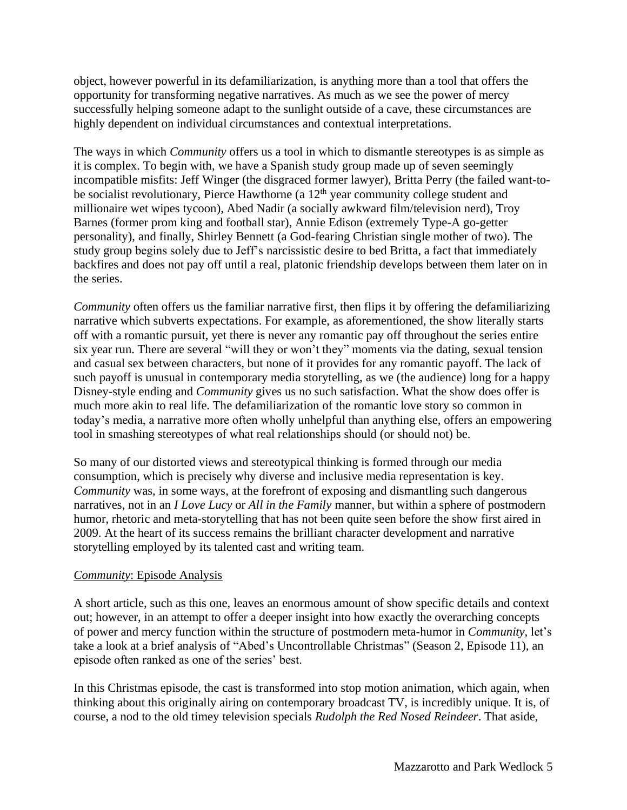object, however powerful in its defamiliarization, is anything more than a tool that offers the opportunity for transforming negative narratives. As much as we see the power of mercy successfully helping someone adapt to the sunlight outside of a cave, these circumstances are highly dependent on individual circumstances and contextual interpretations.

The ways in which *Community* offers us a tool in which to dismantle stereotypes is as simple as it is complex. To begin with, we have a Spanish study group made up of seven seemingly incompatible misfits: Jeff Winger (the disgraced former lawyer), Britta Perry (the failed want-tobe socialist revolutionary, Pierce Hawthorne (a 12<sup>th</sup> year community college student and millionaire wet wipes tycoon), Abed Nadir (a socially awkward film/television nerd), Troy Barnes (former prom king and football star), Annie Edison (extremely Type-A go-getter personality), and finally, Shirley Bennett (a God-fearing Christian single mother of two). The study group begins solely due to Jeff's narcissistic desire to bed Britta, a fact that immediately backfires and does not pay off until a real, platonic friendship develops between them later on in the series.

*Community* often offers us the familiar narrative first, then flips it by offering the defamiliarizing narrative which subverts expectations. For example, as aforementioned, the show literally starts off with a romantic pursuit, yet there is never any romantic pay off throughout the series entire six year run. There are several "will they or won't they" moments via the dating, sexual tension and casual sex between characters, but none of it provides for any romantic payoff. The lack of such payoff is unusual in contemporary media storytelling, as we (the audience) long for a happy Disney-style ending and *Community* gives us no such satisfaction. What the show does offer is much more akin to real life. The defamiliarization of the romantic love story so common in today's media, a narrative more often wholly unhelpful than anything else, offers an empowering tool in smashing stereotypes of what real relationships should (or should not) be.

So many of our distorted views and stereotypical thinking is formed through our media consumption, which is precisely why diverse and inclusive media representation is key. *Community* was, in some ways, at the forefront of exposing and dismantling such dangerous narratives, not in an *I Love Lucy* or *All in the Family* manner, but within a sphere of postmodern humor, rhetoric and meta-storytelling that has not been quite seen before the show first aired in 2009. At the heart of its success remains the brilliant character development and narrative storytelling employed by its talented cast and writing team.

# *Community*: Episode Analysis

A short article, such as this one, leaves an enormous amount of show specific details and context out; however, in an attempt to offer a deeper insight into how exactly the overarching concepts of power and mercy function within the structure of postmodern meta-humor in *Community*, let's take a look at a brief analysis of "Abed's Uncontrollable Christmas" (Season 2, Episode 11), an episode often ranked as one of the series' best.

In this Christmas episode, the cast is transformed into stop motion animation, which again, when thinking about this originally airing on contemporary broadcast TV, is incredibly unique. It is, of course, a nod to the old timey television specials *Rudolph the Red Nosed Reindeer*. That aside,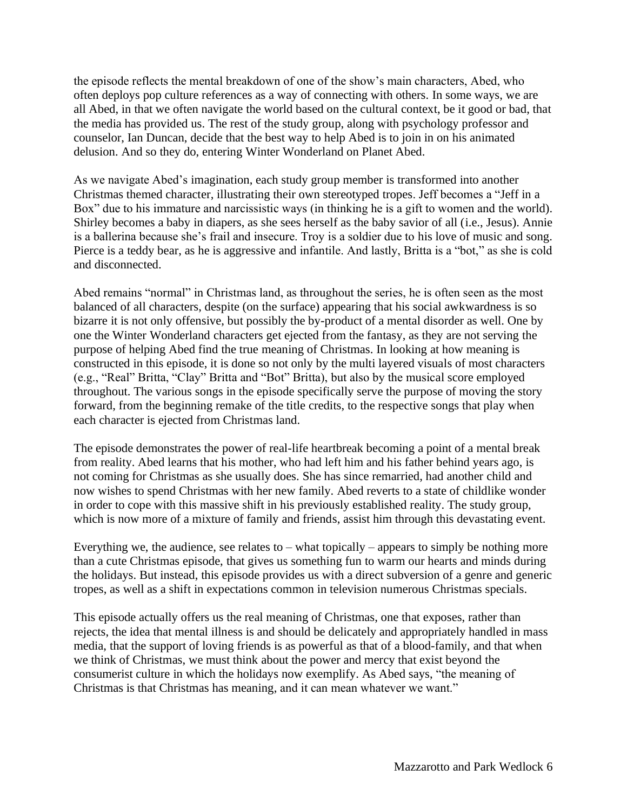the episode reflects the mental breakdown of one of the show's main characters, Abed, who often deploys pop culture references as a way of connecting with others. In some ways, we are all Abed, in that we often navigate the world based on the cultural context, be it good or bad, that the media has provided us. The rest of the study group, along with psychology professor and counselor, Ian Duncan, decide that the best way to help Abed is to join in on his animated delusion. And so they do, entering Winter Wonderland on Planet Abed.

As we navigate Abed's imagination, each study group member is transformed into another Christmas themed character, illustrating their own stereotyped tropes. Jeff becomes a "Jeff in a Box" due to his immature and narcissistic ways (in thinking he is a gift to women and the world). Shirley becomes a baby in diapers, as she sees herself as the baby savior of all (i.e., Jesus). Annie is a ballerina because she's frail and insecure. Troy is a soldier due to his love of music and song. Pierce is a teddy bear, as he is aggressive and infantile. And lastly, Britta is a "bot," as she is cold and disconnected.

Abed remains "normal" in Christmas land, as throughout the series, he is often seen as the most balanced of all characters, despite (on the surface) appearing that his social awkwardness is so bizarre it is not only offensive, but possibly the by-product of a mental disorder as well. One by one the Winter Wonderland characters get ejected from the fantasy, as they are not serving the purpose of helping Abed find the true meaning of Christmas. In looking at how meaning is constructed in this episode, it is done so not only by the multi layered visuals of most characters (e.g., "Real" Britta, "Clay" Britta and "Bot" Britta), but also by the musical score employed throughout. The various songs in the episode specifically serve the purpose of moving the story forward, from the beginning remake of the title credits, to the respective songs that play when each character is ejected from Christmas land.

The episode demonstrates the power of real-life heartbreak becoming a point of a mental break from reality. Abed learns that his mother, who had left him and his father behind years ago, is not coming for Christmas as she usually does. She has since remarried, had another child and now wishes to spend Christmas with her new family. Abed reverts to a state of childlike wonder in order to cope with this massive shift in his previously established reality. The study group, which is now more of a mixture of family and friends, assist him through this devastating event.

Everything we, the audience, see relates to – what topically – appears to simply be nothing more than a cute Christmas episode, that gives us something fun to warm our hearts and minds during the holidays. But instead, this episode provides us with a direct subversion of a genre and generic tropes, as well as a shift in expectations common in television numerous Christmas specials.

This episode actually offers us the real meaning of Christmas, one that exposes, rather than rejects, the idea that mental illness is and should be delicately and appropriately handled in mass media, that the support of loving friends is as powerful as that of a blood-family, and that when we think of Christmas, we must think about the power and mercy that exist beyond the consumerist culture in which the holidays now exemplify. As Abed says, "the meaning of Christmas is that Christmas has meaning, and it can mean whatever we want."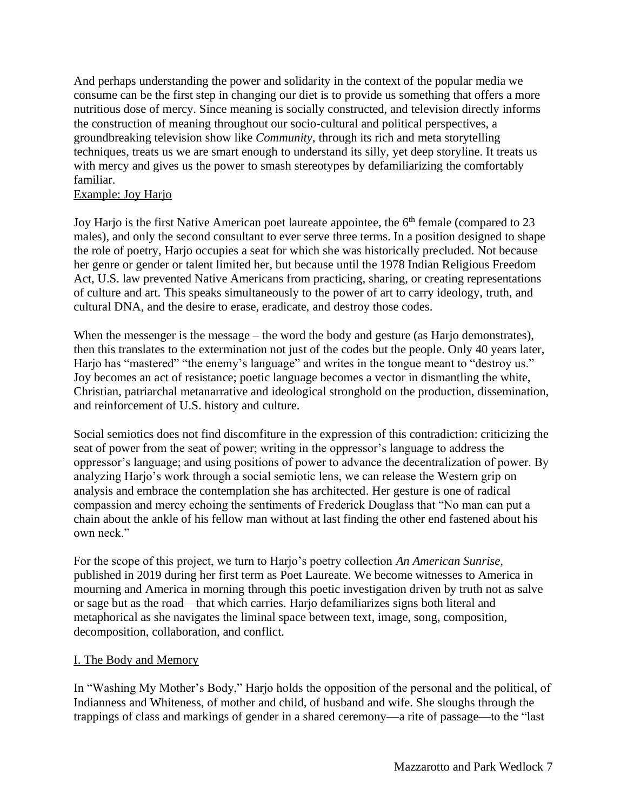And perhaps understanding the power and solidarity in the context of the popular media we consume can be the first step in changing our diet is to provide us something that offers a more nutritious dose of mercy. Since meaning is socially constructed, and television directly informs the construction of meaning throughout our socio-cultural and political perspectives, a groundbreaking television show like *Community*, through its rich and meta storytelling techniques, treats us we are smart enough to understand its silly, yet deep storyline. It treats us with mercy and gives us the power to smash stereotypes by defamiliarizing the comfortably familiar.

### Example: Joy Harjo

Joy Harjo is the first Native American poet laureate appointee, the 6<sup>th</sup> female (compared to 23 males), and only the second consultant to ever serve three terms. In a position designed to shape the role of poetry, Harjo occupies a seat for which she was historically precluded. Not because her genre or gender or talent limited her, but because until the 1978 Indian Religious Freedom Act, U.S. law prevented Native Americans from practicing, sharing, or creating representations of culture and art. This speaks simultaneously to the power of art to carry ideology, truth, and cultural DNA, and the desire to erase, eradicate, and destroy those codes.

When the messenger is the message – the word the body and gesture (as Harjo demonstrates), then this translates to the extermination not just of the codes but the people. Only 40 years later, Harjo has "mastered" "the enemy's language" and writes in the tongue meant to "destroy us." Joy becomes an act of resistance; poetic language becomes a vector in dismantling the white, Christian, patriarchal metanarrative and ideological stronghold on the production, dissemination, and reinforcement of U.S. history and culture.

Social semiotics does not find discomfiture in the expression of this contradiction: criticizing the seat of power from the seat of power; writing in the oppressor's language to address the oppressor's language; and using positions of power to advance the decentralization of power. By analyzing Harjo's work through a social semiotic lens, we can release the Western grip on analysis and embrace the contemplation she has architected. Her gesture is one of radical compassion and mercy echoing the sentiments of Frederick Douglass that "No man can put a chain about the ankle of his fellow man without at last finding the other end fastened about his own neck."

For the scope of this project, we turn to Harjo's poetry collection *An American Sunrise,*  published in 2019 during her first term as Poet Laureate. We become witnesses to America in mourning and America in morning through this poetic investigation driven by truth not as salve or sage but as the road—that which carries. Harjo defamiliarizes signs both literal and metaphorical as she navigates the liminal space between text, image, song, composition, decomposition, collaboration, and conflict.

# I. The Body and Memory

In "Washing My Mother's Body," Harjo holds the opposition of the personal and the political, of Indianness and Whiteness, of mother and child, of husband and wife. She sloughs through the trappings of class and markings of gender in a shared ceremony—a rite of passage—to the "last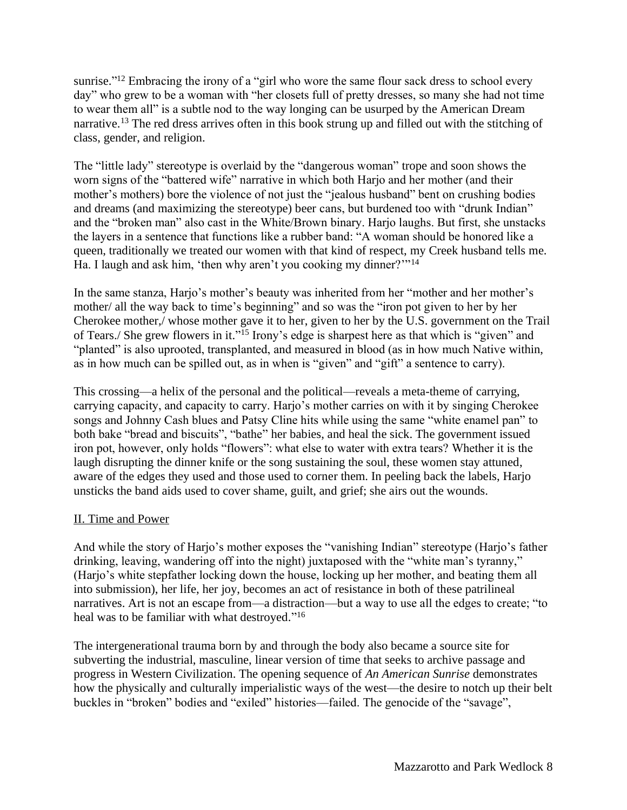sunrise."<sup>12</sup> Embracing the irony of a "girl who wore the same flour sack dress to school every day" who grew to be a woman with "her closets full of pretty dresses, so many she had not time to wear them all" is a subtle nod to the way longing can be usurped by the American Dream narrative.<sup>13</sup> The red dress arrives often in this book strung up and filled out with the stitching of class, gender, and religion.

The "little lady" stereotype is overlaid by the "dangerous woman" trope and soon shows the worn signs of the "battered wife" narrative in which both Harjo and her mother (and their mother's mothers) bore the violence of not just the "jealous husband" bent on crushing bodies and dreams (and maximizing the stereotype) beer cans, but burdened too with "drunk Indian" and the "broken man" also cast in the White/Brown binary. Harjo laughs. But first, she unstacks the layers in a sentence that functions like a rubber band: "A woman should be honored like a queen, traditionally we treated our women with that kind of respect, my Creek husband tells me. Ha. I laugh and ask him, 'then why aren't you cooking my dinner?'"<sup>14</sup>

In the same stanza, Harjo's mother's beauty was inherited from her "mother and her mother's mother/ all the way back to time's beginning" and so was the "iron pot given to her by her Cherokee mother,/ whose mother gave it to her, given to her by the U.S. government on the Trail of Tears./ She grew flowers in it."<sup>15</sup> Irony's edge is sharpest here as that which is "given" and "planted" is also uprooted, transplanted, and measured in blood (as in how much Native within, as in how much can be spilled out, as in when is "given" and "gift" a sentence to carry).

This crossing—a helix of the personal and the political—reveals a meta-theme of carrying, carrying capacity, and capacity to carry. Harjo's mother carries on with it by singing Cherokee songs and Johnny Cash blues and Patsy Cline hits while using the same "white enamel pan" to both bake "bread and biscuits", "bathe" her babies, and heal the sick. The government issued iron pot, however, only holds "flowers": what else to water with extra tears? Whether it is the laugh disrupting the dinner knife or the song sustaining the soul, these women stay attuned, aware of the edges they used and those used to corner them. In peeling back the labels, Harjo unsticks the band aids used to cover shame, guilt, and grief; she airs out the wounds.

# II. Time and Power

And while the story of Harjo's mother exposes the "vanishing Indian" stereotype (Harjo's father drinking, leaving, wandering off into the night) juxtaposed with the "white man's tyranny," (Harjo's white stepfather locking down the house, locking up her mother, and beating them all into submission), her life, her joy, becomes an act of resistance in both of these patrilineal narratives. Art is not an escape from—a distraction—but a way to use all the edges to create; "to heal was to be familiar with what destroyed."<sup>16</sup>

The intergenerational trauma born by and through the body also became a source site for subverting the industrial, masculine, linear version of time that seeks to archive passage and progress in Western Civilization. The opening sequence of *An American Sunrise* demonstrates how the physically and culturally imperialistic ways of the west—the desire to notch up their belt buckles in "broken" bodies and "exiled" histories—failed. The genocide of the "savage",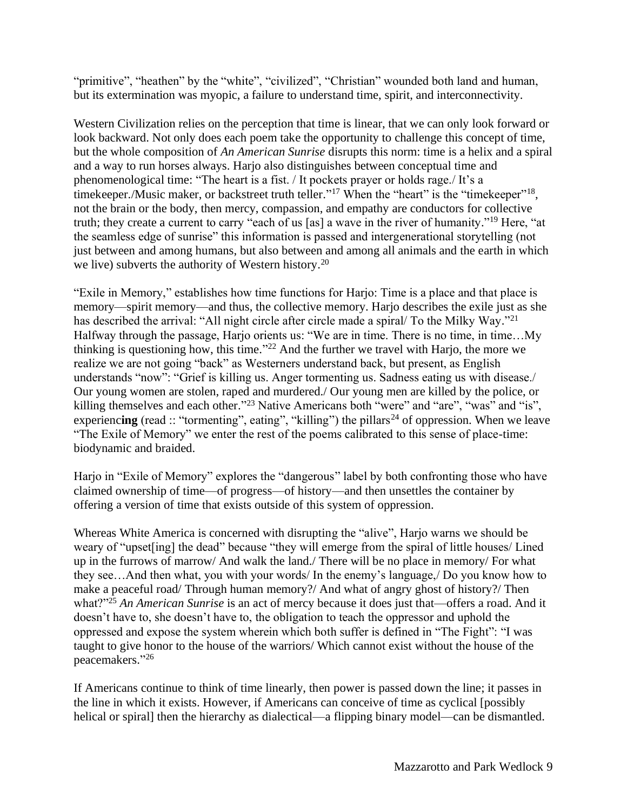"primitive", "heathen" by the "white", "civilized", "Christian" wounded both land and human, but its extermination was myopic, a failure to understand time, spirit, and interconnectivity.

Western Civilization relies on the perception that time is linear, that we can only look forward or look backward. Not only does each poem take the opportunity to challenge this concept of time, but the whole composition of *An American Sunrise* disrupts this norm: time is a helix and a spiral and a way to run horses always. Harjo also distinguishes between conceptual time and phenomenological time: "The heart is a fist. / It pockets prayer or holds rage./ It's a timekeeper./Music maker, or backstreet truth teller."<sup>17</sup> When the "heart" is the "timekeeper"<sup>18</sup>, not the brain or the body, then mercy, compassion, and empathy are conductors for collective truth; they create a current to carry "each of us [as] a wave in the river of humanity."<sup>19</sup> Here, "at the seamless edge of sunrise" this information is passed and intergenerational storytelling (not just between and among humans, but also between and among all animals and the earth in which we live) subverts the authority of Western history.<sup>20</sup>

"Exile in Memory," establishes how time functions for Harjo: Time is a place and that place is memory—spirit memory—and thus, the collective memory. Harjo describes the exile just as she has described the arrival: "All night circle after circle made a spiral/ To the Milky Way."<sup>21</sup> Halfway through the passage, Harjo orients us: "We are in time. There is no time, in time…My thinking is questioning how, this time. $122$  And the further we travel with Harjo, the more we realize we are not going "back" as Westerners understand back, but present, as English understands "now": "Grief is killing us. Anger tormenting us. Sadness eating us with disease./ Our young women are stolen, raped and murdered./ Our young men are killed by the police, or killing themselves and each other."<sup>23</sup> Native Americans both "were" and "are", "was" and "is", experiencing (read :: "tormenting", eating", "killing") the pillars<sup>24</sup> of oppression. When we leave "The Exile of Memory" we enter the rest of the poems calibrated to this sense of place-time: biodynamic and braided.

Harjo in "Exile of Memory" explores the "dangerous" label by both confronting those who have claimed ownership of time—of progress—of history—and then unsettles the container by offering a version of time that exists outside of this system of oppression.

Whereas White America is concerned with disrupting the "alive", Harjo warns we should be weary of "upset[ing] the dead" because "they will emerge from the spiral of little houses/ Lined up in the furrows of marrow/ And walk the land./ There will be no place in memory/ For what they see…And then what, you with your words/ In the enemy's language,/ Do you know how to make a peaceful road/ Through human memory?/ And what of angry ghost of history?/ Then what?"<sup>25</sup> *An American Sunrise* is an act of mercy because it does just that—offers a road. And it doesn't have to, she doesn't have to, the obligation to teach the oppressor and uphold the oppressed and expose the system wherein which both suffer is defined in "The Fight": "I was taught to give honor to the house of the warriors/ Which cannot exist without the house of the peacemakers." 26

If Americans continue to think of time linearly, then power is passed down the line; it passes in the line in which it exists. However, if Americans can conceive of time as cyclical [possibly helical or spirall then the hierarchy as dialectical—a flipping binary model—can be dismantled.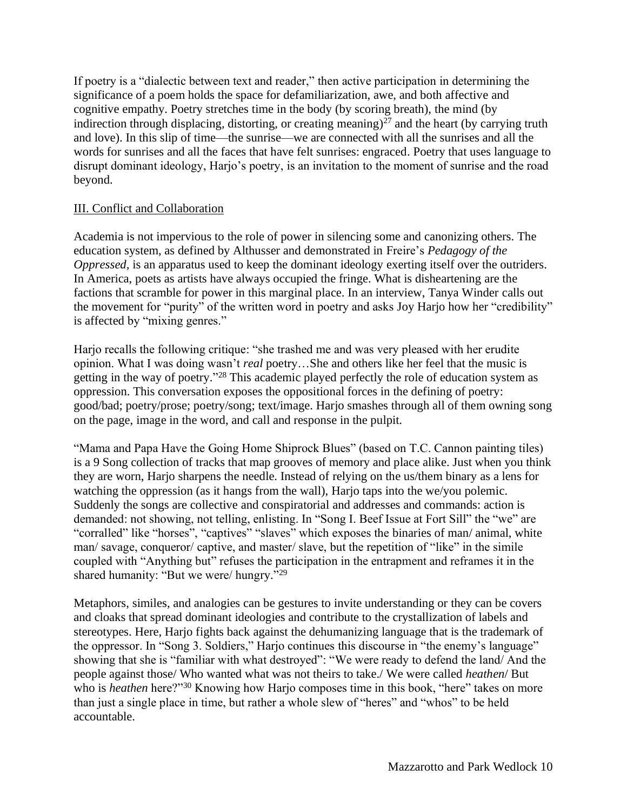If poetry is a "dialectic between text and reader," then active participation in determining the significance of a poem holds the space for defamiliarization, awe, and both affective and cognitive empathy. Poetry stretches time in the body (by scoring breath), the mind (by indirection through displacing, distorting, or creating meaning) $^{27}$  and the heart (by carrying truth and love). In this slip of time—the sunrise—we are connected with all the sunrises and all the words for sunrises and all the faces that have felt sunrises: engraced. Poetry that uses language to disrupt dominant ideology, Harjo's poetry, is an invitation to the moment of sunrise and the road beyond.

## III. Conflict and Collaboration

Academia is not impervious to the role of power in silencing some and canonizing others. The education system, as defined by Althusser and demonstrated in Freire's *Pedagogy of the Oppressed*, is an apparatus used to keep the dominant ideology exerting itself over the outriders. In America, poets as artists have always occupied the fringe. What is disheartening are the factions that scramble for power in this marginal place. In an interview, Tanya Winder calls out the movement for "purity" of the written word in poetry and asks Joy Harjo how her "credibility" is affected by "mixing genres."

Harjo recalls the following critique: "she trashed me and was very pleased with her erudite opinion. What I was doing wasn't *real* poetry…She and others like her feel that the music is getting in the way of poetry."<sup>28</sup> This academic played perfectly the role of education system as oppression. This conversation exposes the oppositional forces in the defining of poetry: good/bad; poetry/prose; poetry/song; text/image. Harjo smashes through all of them owning song on the page, image in the word, and call and response in the pulpit.

"Mama and Papa Have the Going Home Shiprock Blues" (based on T.C. Cannon painting tiles) is a 9 Song collection of tracks that map grooves of memory and place alike. Just when you think they are worn, Harjo sharpens the needle. Instead of relying on the us/them binary as a lens for watching the oppression (as it hangs from the wall), Harjo taps into the we/you polemic. Suddenly the songs are collective and conspiratorial and addresses and commands: action is demanded: not showing, not telling, enlisting. In "Song I. Beef Issue at Fort Sill" the "we" are "corralled" like "horses", "captives" "slaves" which exposes the binaries of man/animal, white man/ savage, conqueror/ captive, and master/ slave, but the repetition of "like" in the simile coupled with "Anything but" refuses the participation in the entrapment and reframes it in the shared humanity: "But we were/ hungry."<sup>29</sup>

Metaphors, similes, and analogies can be gestures to invite understanding or they can be covers and cloaks that spread dominant ideologies and contribute to the crystallization of labels and stereotypes. Here, Harjo fights back against the dehumanizing language that is the trademark of the oppressor. In "Song 3. Soldiers," Harjo continues this discourse in "the enemy's language" showing that she is "familiar with what destroyed": "We were ready to defend the land/ And the people against those/ Who wanted what was not theirs to take./ We were called *heathen*/ But who is *heathen* here?"<sup>30</sup> Knowing how Harjo composes time in this book, "here" takes on more than just a single place in time, but rather a whole slew of "heres" and "whos" to be held accountable.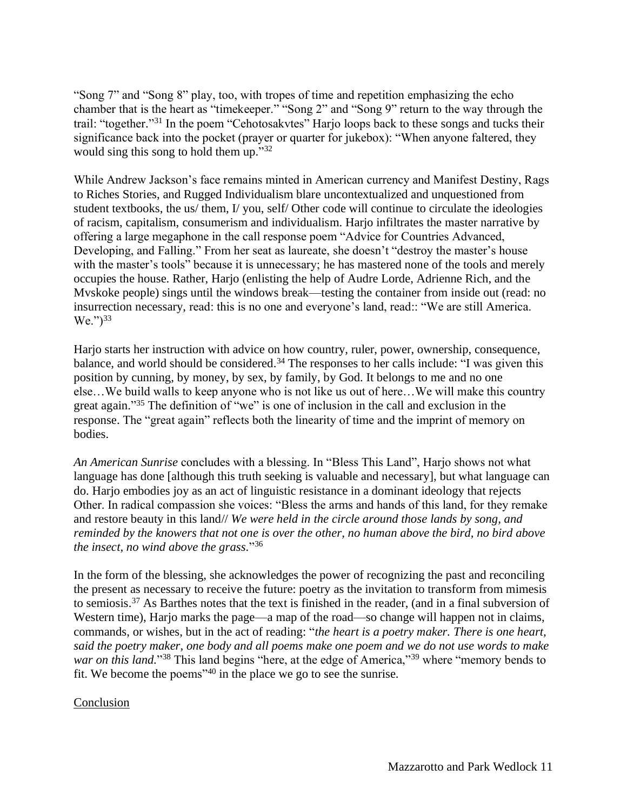"Song 7" and "Song 8" play, too, with tropes of time and repetition emphasizing the echo chamber that is the heart as "timekeeper." "Song 2" and "Song 9" return to the way through the trail: "together."<sup>31</sup> In the poem "Cehotosakvtes" Harjo loops back to these songs and tucks their significance back into the pocket (prayer or quarter for jukebox): "When anyone faltered, they would sing this song to hold them up."32

While Andrew Jackson's face remains minted in American currency and Manifest Destiny, Rags to Riches Stories, and Rugged Individualism blare uncontextualized and unquestioned from student textbooks, the us/ them, I/ you, self/ Other code will continue to circulate the ideologies of racism, capitalism, consumerism and individualism. Harjo infiltrates the master narrative by offering a large megaphone in the call response poem "Advice for Countries Advanced, Developing, and Falling." From her seat as laureate, she doesn't "destroy the master's house with the master's tools" because it is unnecessary; he has mastered none of the tools and merely occupies the house. Rather, Harjo (enlisting the help of Audre Lorde, Adrienne Rich, and the Mvskoke people) sings until the windows break—testing the container from inside out (read: no insurrection necessary, read: this is no one and everyone's land, read:: "We are still America.  $We. ")^{33}$ 

Harjo starts her instruction with advice on how country, ruler, power, ownership, consequence, balance, and world should be considered.<sup>34</sup> The responses to her calls include: "I was given this position by cunning, by money, by sex, by family, by God. It belongs to me and no one else…We build walls to keep anyone who is not like us out of here…We will make this country great again." <sup>35</sup> The definition of "we" is one of inclusion in the call and exclusion in the response. The "great again" reflects both the linearity of time and the imprint of memory on bodies.

*An American Sunrise* concludes with a blessing. In "Bless This Land", Harjo shows not what language has done [although this truth seeking is valuable and necessary], but what language can do. Harjo embodies joy as an act of linguistic resistance in a dominant ideology that rejects Other. In radical compassion she voices: "Bless the arms and hands of this land, for they remake and restore beauty in this land// *We were held in the circle around those lands by song, and reminded by the knowers that not one is over the other, no human above the bird, no bird above the insect, no wind above the grass.*" 36

In the form of the blessing, she acknowledges the power of recognizing the past and reconciling the present as necessary to receive the future: poetry as the invitation to transform from mimesis to semiosis. <sup>37</sup> As Barthes notes that the text is finished in the reader, (and in a final subversion of Western time), Harjo marks the page—a map of the road—so change will happen not in claims, commands, or wishes, but in the act of reading: "*the heart is a poetry maker. There is one heart, said the poetry maker, one body and all poems make one poem and we do not use words to make*  war on this land."<sup>38</sup> This land begins "here, at the edge of America,"<sup>39</sup> where "memory bends to fit. We become the poems<sup> $140$ </sup> in the place we go to see the sunrise.

#### Conclusion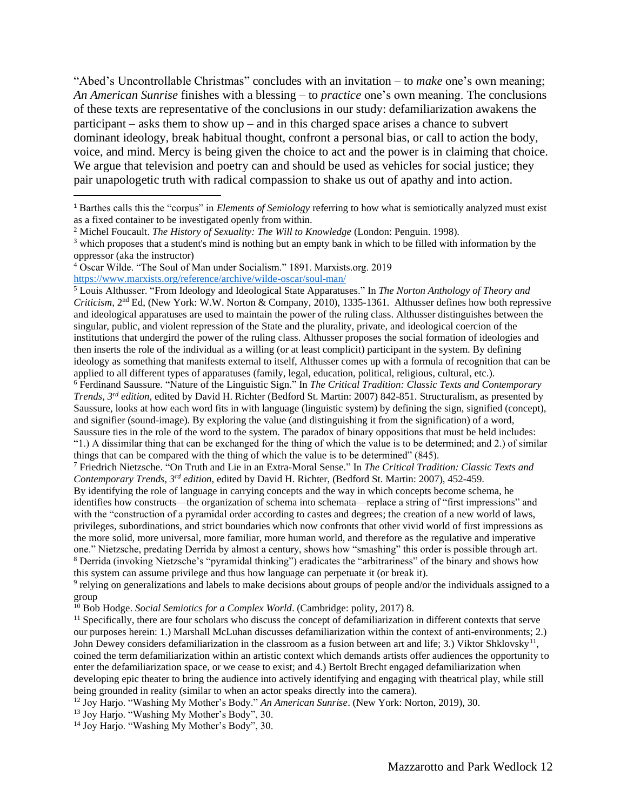"Abed's Uncontrollable Christmas" concludes with an invitation – to *make* one's own meaning; *An American Sunrise* finishes with a blessing – to *practice* one's own meaning. The conclusions of these texts are representative of the conclusions in our study: defamiliarization awakens the participant – asks them to show up – and in this charged space arises a chance to subvert dominant ideology, break habitual thought, confront a personal bias, or call to action the body, voice, and mind. Mercy is being given the choice to act and the power is in claiming that choice. We argue that television and poetry can and should be used as vehicles for social justice; they pair unapologetic truth with radical compassion to shake us out of apathy and into action.

<sup>4</sup> Oscar Wilde. "The Soul of Man under Socialism." 1891. Marxists.org. 2019

<https://www.marxists.org/reference/archive/wilde-oscar/soul-man/>

<sup>5</sup> Louis Althusser. "From Ideology and Ideological State Apparatuses." In *The Norton Anthology of Theory and Criticism,* 2 nd Ed, (New York: W.W. Norton & Company, 2010), 1335-1361. Althusser defines how both repressive and ideological apparatuses are used to maintain the power of the ruling class. Althusser distinguishes between the singular, public, and violent repression of the State and the plurality, private, and ideological coercion of the institutions that undergird the power of the ruling class. Althusser proposes the social formation of ideologies and then inserts the role of the individual as a willing (or at least complicit) participant in the system. By defining ideology as something that manifests external to itself, Althusser comes up with a formula of recognition that can be applied to all different types of apparatuses (family, legal, education, political, religious, cultural, etc.).

<sup>6</sup> Ferdinand Saussure. "Nature of the Linguistic Sign." In *The Critical Tradition: Classic Texts and Contemporary Trends, 3rd edition*, edited by David H. Richter (Bedford St. Martin: 2007) 842-851. Structuralism, as presented by Saussure, looks at how each word fits in with language (linguistic system) by defining the sign, signified (concept), and signifier (sound-image). By exploring the value (and distinguishing it from the signification) of a word, Saussure ties in the role of the word to the system. The paradox of binary oppositions that must be held includes: "1.) A dissimilar thing that can be exchanged for the thing of which the value is to be determined; and 2.) of similar things that can be compared with the thing of which the value is to be determined" (845).

<sup>7</sup> Friedrich Nietzsche. "On Truth and Lie in an Extra-Moral Sense." In *The Critical Tradition: Classic Texts and Contemporary Trends, 3rd edition*, edited by David H. Richter, (Bedford St. Martin: 2007), 452-459.

By identifying the role of language in carrying concepts and the way in which concepts become schema, he identifies how constructs—the organization of schema into schemata—replace a string of "first impressions" and with the "construction of a pyramidal order according to castes and degrees; the creation of a new world of laws, privileges, subordinations, and strict boundaries which now confronts that other vivid world of first impressions as the more solid, more universal, more familiar, more human world, and therefore as the regulative and imperative one." Nietzsche, predating Derrida by almost a century, shows how "smashing" this order is possible through art. <sup>8</sup> Derrida (invoking Nietzsche's "pyramidal thinking") eradicates the "arbitrariness" of the binary and shows how this system can assume privilege and thus how language can perpetuate it (or break it).

9 relying on generalizations and labels to make decisions about groups of people and/or the individuals assigned to a group

<sup>10</sup> Bob Hodge. *Social Semiotics for a Complex World*. (Cambridge: polity, 2017) 8.

 $<sup>11</sup>$  Specifically, there are four scholars who discuss the concept of defamiliarization in different contexts that serve</sup> our purposes herein: 1.) Marshall McLuhan discusses defamiliarization within the context of anti-environments; 2.) John Dewey considers defamiliarization in the classroom as a fusion between art and life; 3.) Viktor Shklovsky<sup>11</sup>, coined the term defamiliarization within an artistic context which demands artists offer audiences the opportunity to enter the defamiliarization space, or we cease to exist; and 4.) Bertolt Brecht engaged defamiliarization when developing epic theater to bring the audience into actively identifying and engaging with theatrical play, while still being grounded in reality (similar to when an actor speaks directly into the camera).

<sup>12</sup> Joy Harjo. "Washing My Mother's Body." *An American Sunrise*. (New York: Norton, 2019), 30.

<sup>13</sup> Joy Harjo. "Washing My Mother's Body", 30.

<sup>14</sup> Joy Harjo. "Washing My Mother's Body", 30.

<sup>1</sup> Barthes calls this the "corpus" in *Elements of Semiology* referring to how what is semiotically analyzed must exist as a fixed container to be investigated openly from within.

<sup>2</sup> Michel Foucault. *The History of Sexuality: The Will to Knowledge* (London: Penguin. 1998).

<sup>&</sup>lt;sup>3</sup> which proposes that a student's mind is nothing but an empty bank in which to be filled with information by the oppressor (aka the instructor)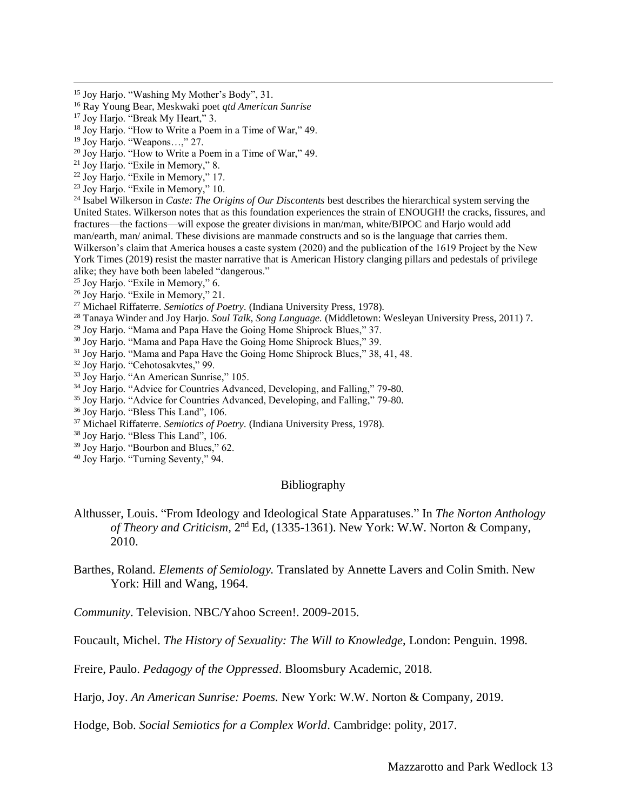- <sup>15</sup> Joy Harjo. "Washing My Mother's Body", 31.
- <sup>16</sup> Ray Young Bear, Meskwaki poet *qtd American Sunrise*
- <sup>17</sup> Joy Harjo. "Break My Heart," 3.
- <sup>18</sup> Joy Harjo. "How to Write a Poem in a Time of War," 49.
- <sup>19</sup> Joy Harjo. "Weapons…," 27.
- $20$  Joy Harjo. "How to Write a Poem in a Time of War," 49.
- <sup>21</sup> Joy Harjo. "Exile in Memory," 8.
- <sup>22</sup> Joy Harjo. "Exile in Memory," 17.
- <sup>23</sup> Joy Harjo. "Exile in Memory," 10.

<sup>24</sup> Isabel Wilkerson in *Caste: The Origins of Our Discontents* best describes the hierarchical system serving the United States. Wilkerson notes that as this foundation experiences the strain of ENOUGH! the cracks, fissures, and fractures—the factions—will expose the greater divisions in man/man, white/BIPOC and Harjo would add man/earth, man/ animal. These divisions are manmade constructs and so is the language that carries them. Wilkerson's claim that America houses a caste system (2020) and the publication of the 1619 Project by the New York Times (2019) resist the master narrative that is American History clanging pillars and pedestals of privilege alike; they have both been labeled "dangerous."

- <sup>25</sup> Joy Harjo. "Exile in Memory," 6.
- <sup>26</sup> Joy Harjo. "Exile in Memory," 21.
- <sup>27</sup> Michael Riffaterre. *Semiotics of Poetry.* (Indiana University Press, 1978).
- <sup>28</sup> Tanaya Winder and Joy Harjo. *Soul Talk, Song Language.* (Middletown: Wesleyan University Press, 2011) 7.
- <sup>29</sup> Joy Harjo. "Mama and Papa Have the Going Home Shiprock Blues," 37.
- <sup>30</sup> Joy Harjo. "Mama and Papa Have the Going Home Shiprock Blues," 39.
- <sup>31</sup> Joy Harjo. "Mama and Papa Have the Going Home Shiprock Blues," 38, 41, 48.
- <sup>32</sup> Joy Harjo. "Cehotosakvtes," 99.
- <sup>33</sup> Joy Harjo. "An American Sunrise," 105.
- <sup>34</sup> Joy Harjo. "Advice for Countries Advanced, Developing, and Falling," 79-80.
- <sup>35</sup> Joy Harjo. "Advice for Countries Advanced, Developing, and Falling," 79-80.
- <sup>36</sup> Joy Harjo. "Bless This Land", 106.
- <sup>37</sup> Michael Riffaterre. *Semiotics of Poetry.* (Indiana University Press, 1978).
- <sup>38</sup> Joy Harjo. "Bless This Land", 106.
- <sup>39</sup> Joy Harjo. "Bourbon and Blues," 62.
- <sup>40</sup> Joy Harjo. "Turning Seventy," 94.

#### Bibliography

- Althusser, Louis. "From Ideology and Ideological State Apparatuses." In *The Norton Anthology*  of Theory and Criticism, 2<sup>nd</sup> Ed, (1335-1361). New York: W.W. Norton & Company, 2010.
- Barthes, Roland. *Elements of Semiology.* Translated by Annette Lavers and Colin Smith. New York: Hill and Wang, 1964.

*Community*. Television. NBC/Yahoo Screen!. 2009-2015.

Foucault, Michel. *The History of Sexuality: The Will to Knowledge*, London: Penguin. 1998.

Freire, Paulo. *Pedagogy of the Oppressed*. Bloomsbury Academic, 2018.

Harjo, Joy. *An American Sunrise: Poems.* New York: W.W. Norton & Company, 2019.

Hodge, Bob. *Social Semiotics for a Complex World*. Cambridge: polity, 2017.